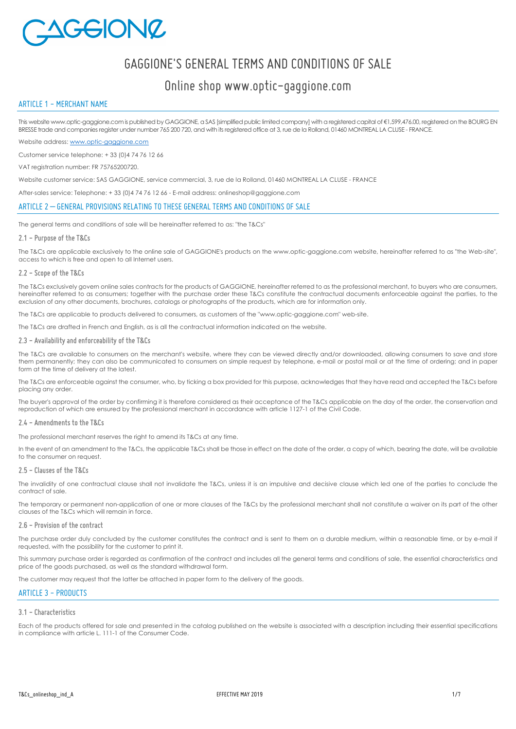

# GAGGIONE'S GENERAL TERMS AND CONDITIONS OF SALE

# Online shop www.optic-gaggione.com

# ARTICLE 1 - MERCHANT NAME

This website www.optic-gaggione.com is published by GAGGIONE, a SAS [simplified public limited company] with a registered capital of €1,599,476,00, registered on the BOURG EN BRESSE trade and companies register under number 765 200 720, and with its registered office at 3, rue de la Rolland, 01460 MONTREAL LA CLUSE - FRANCE.

Website address[: www.optic-gaggione.com](http://www.optic-gaggione.com/)

Customer service telephone: + 33 (0)4 74 76 12 66

VAT registration number: FR 75765200720.

Website customer service: SAS GAGGIONE, service commercial, 3, rue de la Rolland, 01460 MONTREAL LA CLUSE - FRANCE

After-sales service: Telephone: + 33 (0)4 74 76 12 66 - E-mail address: onlineshop@gaggione.com

# ARTICLE 2 – GENERAL PROVISIONS RELATING TO THESE GENERAL TERMS AND CONDITIONS OF SALE

The general terms and conditions of sale will be hereinafter referred to as: "the T&Cs"

#### **2.1 - Purpose of the T&Cs**

The T&Cs are applicable exclusively to the online sale of GAGGIONE's products on the www.optic-gaggione.com website, hereinafter referred to as "the Web-site", access to which is free and open to all Internet users.

#### **2.2 - Scope of the T&Cs**

The T&Cs exclusively govern online sales contracts for the products of GAGGIONE, hereinafter referred to as the professional merchant, to buyers who are consumers, hereinafter referred to as consumers; together with the purchase order these T&Cs constitute the contractual documents enforceable against the parties, to the exclusion of any other documents, brochures, catalogs or photographs of the products, which are for information only.

The T&Cs are applicable to products delivered to consumers, as customers of the "www.optic-gaggione.com" web-site.

The T&Cs are drafted in French and English, as is all the contractual information indicated on the website.

#### **2.3 - Availability and enforceability of the T&Cs**

The T&Cs are available to consumers on the merchant's website, where they can be viewed directly and/or downloaded, allowing consumers to save and store them permanently; they can also be communicated to consumers on simple request by telephone, e-mail or postal mail or at the time of ordering; and in paper form at the time of delivery at the latest.

The T&Cs are enforceable against the consumer, who, by ticking a box provided for this purpose, acknowledges that they have read and accepted the T&Cs before placing any order.

The buver's approval of the order by confirming it is therefore considered as their acceptance of the T&Cs applicable on the day of the order, the conservation and reproduction of which are ensured by the professional merchant in accordance with article 1127-1 of the Civil Code.

#### **2.4 - Amendments to the T&Cs**

The professional merchant reserves the right to amend its T&Cs at any time.

In the event of an amendment to the T&Cs, the applicable T&Cs shall be those in effect on the date of the order, a copy of which, bearing the date, will be available to the consumer on request.

#### **2.5 - Clauses of the T&Cs**

The invalidity of one contractual clause shall not invalidate the T&Cs, unless it is an impulsive and decisive clause which led one of the parties to conclude the contract of sale.

The temporary or permanent non-application of one or more clauses of the T&Cs by the professional merchant shall not constitute a waiver on its part of the other clauses of the T&Cs which will remain in force.

#### **2.6 - Provision of the contract**

The purchase order duly concluded by the customer constitutes the contract and is sent to them on a durable medium, within a reasonable time, or by e-mail if requested, with the possibility for the customer to print it.

This summary purchase order is regarded as confirmation of the contract and includes all the general terms and conditions of sale, the essential characteristics and price of the goods purchased, as well as the standard withdrawal form.

The customer may request that the latter be attached in paper form to the delivery of the goods.

## ARTICLE 3 - PRODUCTS

#### **3.1 - Characteristics**

Each of the products offered for sale and presented in the catalog published on the website is associated with a description including their essential specifications in compliance with article L. 111-1 of the Consumer Code.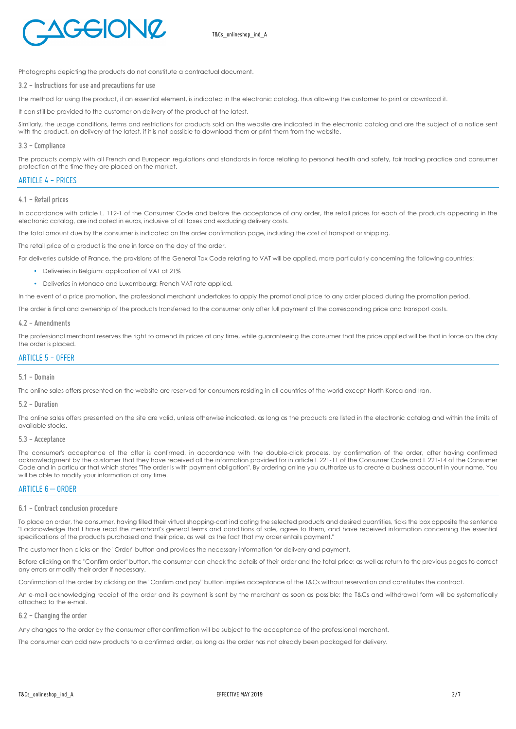

Photographs depicting the products do not constitute a contractual document.

#### **3.2 - Instructions for use and precautions for use**

The method for using the product, if an essential element, is indicated in the electronic catalog, thus allowing the customer to print or download it.

It can still be provided to the customer on delivery of the product at the latest.

Similarly, the usage conditions, terms and restrictions for products sold on the website are indicated in the electronic catalog and are the subject of a notice sent with the product, on delivery at the latest, if it is not possible to download them or print them from the website.

#### **3.3 - Compliance**

The products comply with all French and European regulations and standards in force relating to personal health and safety, fair trading practice and consumer protection at the time they are placed on the market.

# ARTICLE 4 - PRICES

#### **4.1 - Retail prices**

In accordance with article L. 112-1 of the Consumer Code and before the acceptance of any order, the retail prices for each of the products appearing in the electronic catalog, are indicated in euros, inclusive of all taxes and excluding delivery costs.

The total amount due by the consumer is indicated on the order confirmation page, including the cost of transport or shipping.

The retail price of a product is the one in force on the day of the order.

For deliveries outside of France, the provisions of the General Tax Code relating to VAT will be applied, more particularly concerning the following countries:

- Deliveries in Belgium: application of VAT at 21%
- Deliveries in Monaco and Luxembourg: French VAT rate applied.

In the event of a price promotion, the professional merchant undertakes to apply the promotional price to any order placed during the promotion period.

The order is final and ownership of the products transferred to the consumer only after full payment of the corresponding price and transport costs.

#### **4.2 - Amendments**

The professional merchant reserves the right to amend its prices at any time, while guaranteeing the consumer that the price applied will be that in force on the day the order is placed.

# ARTICLE  $5 - 0$ FFFR

# **5.1 - Domain**

The online sales offers presented on the website are reserved for consumers residing in all countries of the world except North Korea and Iran.

#### **5.2 - Duration**

The online sales offers presented on the site are valid, unless otherwise indicated, as long as the products are listed in the electronic catalog and within the limits of available stocks.

#### **5.3 - Acceptance**

The consumer's acceptance of the offer is confirmed, in accordance with the double-click process, by confirmation of the order, after having confirmed acknowledgment by the customer that they have received all the information provided for in article L 221-11 of the Consumer Code and L 221-14 of the Consumer Code and in particular that which states "The order is with payment obligation". By ordering online you authorize us to create a business account in your name. You will be able to modify your information at any time.

# ARTICLE  $6 - 0$ RDER

#### **6.1 - Contract conclusion procedure**

To place an order, the consumer, having filled their virtual shopping-cart indicating the selected products and desired quantities, ticks the box opposite the sentence "I acknowledge that I have read the merchant's general terms and conditions of sale, agree to them, and have received information concerning the essential specifications of the products purchased and their price, as well as the fact that my order entails payment."

The customer then clicks on the "Order" button and provides the necessary information for delivery and payment.

Before clicking on the "Confirm order" button, the consumer can check the details of their order and the total price; as well as return to the previous pages to correct any errors or modify their order if necessary.

Confirmation of the order by clicking on the "Confirm and pay" button implies acceptance of the T&Cs without reservation and constitutes the contract.

An e-mail acknowledging receipt of the order and its payment is sent by the merchant as soon as possible; the T&Cs and withdrawal form will be systematically attached to the e-mail.

#### **6.2 - Changing the order**

Any changes to the order by the consumer after confirmation will be subject to the acceptance of the professional merchant.

The consumer can add new products to a confirmed order, as long as the order has not already been packaged for delivery.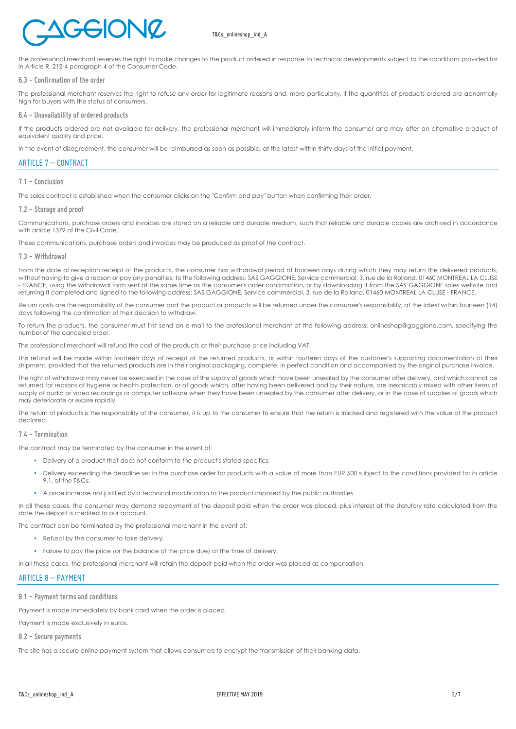

# T&Cs\_onlineshop\_ind\_A

The professional merchant reserves the right to make changes to the product ordered in response to technical developments subject to the conditions provided for in Article R. 212-4 paragraph 4 of the Consumer Code.

#### **6.3 - Confirmation of the order**

The professional merchant reserves the right to refuse any order for legitimate reasons and, more particularly, if the quantities of products ordered are abnormally high for buyers with the status of consumers.

#### **6.4 - Unavailability of ordered products**

If the products ordered are not available for delivery, the professional merchant will immediately inform the consumer and may offer an alternative product of equivalent quality and price.

In the event of disagreement, the consumer will be reimbursed as soon as possible, at the latest within thirty days of the initial payment.

# ARTICLE 7 – CONTRACT

#### **7.1 - Conclusion**

The sales contract is established when the consumer clicks on the "Confirm and pay" button when confirming their order.

#### **7.2 - Storage and proof**

Communications, purchase orders and invoices are stored on a reliable and durable medium, such that reliable and durable copies are archived in accordance with article 1379 of the Civil Code.

These communications, purchase orders and invoices may be produced as proof of the contract.

#### **7.3 - Withdrawal**

From the date of reception receipt of the products, the consumer has withdrawal period of fourteen days during which they may return the delivered products, without having to give a reason or pay any penalties, to the following address: SAS GAGGIONE, Service commercial, 3, rue de la Rolland, 01460 MONTREAL LA CLUSE - FRANCE, using the withdrawal form sent at the same time as the consumer's order confirmation, or by downloading it from the SAS GAGGIONE sales website and returning it completed and signed to the following address: SAS GAGGIONE, Service commercial, 3, rue de la Rolland, 01460 MONTREAL LA CLUSE - FRANCE.

Return costs are the responsibility of the consumer and the product or products will be returned under the consumer's responsibility, at the latest within fourteen (14) days following the confirmation of their decision to withdraw.

To return the products, the consumer must first send an e-mail to the professional merchant at the following address: onlineshop@gaggione.com, specifying the number of the canceled order.

The professional merchant will refund the cost of the products at their purchase price including VAT.

This refund will be made within fourteen days of receipt of the returned products, or within fourteen days of the customer's supporting documentation of their shipment, provided that the returned products are in their original packaging, complete, in perfect condition and accompanied by the original purchase invoice.

The right of withdrawal may never be exercised in the case of the supply of goods which have been unsealed by the consumer after delivery, and which cannot be returned for reasons of hygiene or health protection, or of goods which, after having been delivered and by their nature, are inextricably mixed with other items of supply of audio or video recordings or computer software when they have been unsealed by the consumer after delivery, or in the case of supplies of goods which may deteriorate or expire rapidly.

The return of products is the responsibility of the consumer, it is up to the consumer to ensure that the return is tracked and registered with the value of the product declared.

#### **7.4 - Termination**

The contract may be terminated by the consumer in the event of:

- Delivery of a product that does not conform to the product's stated specifics;
- Delivery exceeding the deadline set in the purchase order for products with a value of more than EUR 500 subject to the conditions provided for in article 9.1. of the T&Cs;
- A price increase not justified by a technical modification to the product imposed by the public authorities.

In all these cases, the consumer may demand repayment of the deposit paid when the order was placed, plus interest at the statutory rate calculated from the date the deposit is credited to our account.

The contract can be terminated by the professional merchant in the event of:

- Refusal by the consumer to take delivery:
- Failure to pay the price (or the balance of the price due) at the time of delivery.

In all these cases, the professional merchant will retain the deposit paid when the order was placed as compensation.

#### ARTICLE 8 – PAYMENT

#### **8.1 - Payment terms and conditions**

Payment is made immediately by bank card when the order is placed.

Payment is made exclusively in euros.

**8.2 - Secure payments**

The site has a secure online payment system that allows consumers to encrypt the transmission of their banking data.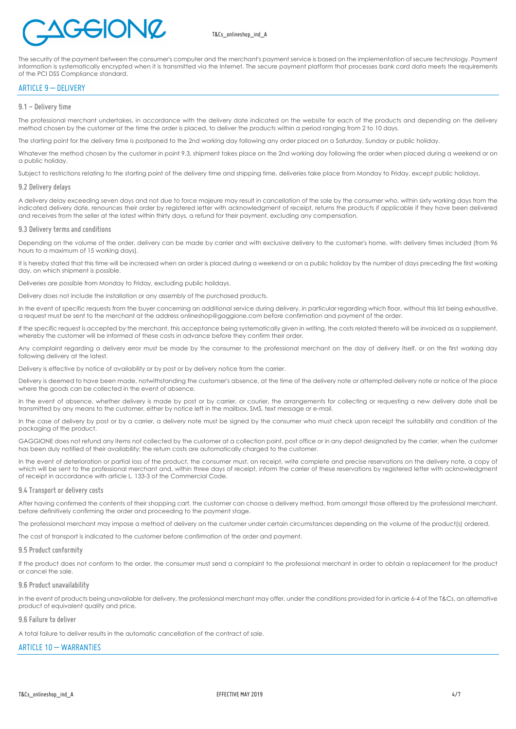# GEIONZ

The security of the payment between the consumer's computer and the merchant's payment service is based on the implementation of secure technology. Payment information is systematically encrypted when it is transmitted via the Internet. The secure payment platform that processes bank card data meets the requirements of the PCI DSS Compliance standard.

# ARTICLE 9 – DELIVERY

#### **9.1 - Delivery time**

The professional merchant undertakes, in accordance with the delivery date indicated on the website for each of the products and depending on the delivery method chosen by the customer at the time the order is placed, to deliver the products within a period ranging from 2 to 10 days.

The starting point for the delivery time is postponed to the 2nd working day following any order placed on a Saturday, Sunday or public holiday.

Whatever the method chosen by the customer in point 9.3, shipment takes place on the 2nd working day following the order when placed during a weekend or on a public holiday.

Subject to restrictions relating to the starting point of the delivery time and shipping time, deliveries take place from Monday to Friday, except public holidays.

#### **9.2 Delivery delays**

A delivery delay exceeding seven days and not due to force majeure may result in cancellation of the sale by the consumer who, within sixty working days from the indicated delivery date, renounces their order by registered letter with acknowledgment of receipt, returns the products if applicable if they have been delivered and receives from the seller at the latest within thirty days, a refund for their payment, excluding any compensation.

#### **9.3 Delivery terms and conditions**

Depending on the volume of the order, delivery can be made by carrier and with exclusive delivery to the customer's home, with delivery times included (from 96 hours to a maximum of 15 working days).

It is hereby stated that this time will be increased when an order is placed during a weekend or on a public holiday by the number of days preceding the first working day, on which shipment is possible.

Deliveries are possible from Monday to Friday, excluding public holidays.

Delivery does not include the installation or any assembly of the purchased products.

In the event of specific requests from the buyer concerning an additional service during delivery, in particular regarding which floor, without this list being exhaustive, a request must be sent to the merchant at the address onlineshop@gaggione.com before confirmation and payment of the order.

If the specific request is accepted by the merchant, this acceptance being systematically given in writing, the costs related thereto will be invoiced as a supplement, whereby the customer will be informed of these costs in advance before they confirm their order.

Any complaint regarding a delivery error must be made by the consumer to the professional merchant on the day of delivery itself, or on the first working day following delivery at the latest.

Delivery is effective by notice of availability or by post or by delivery notice from the carrier.

Delivery is deemed to have been made, notwithstanding the customer's absence, at the time of the delivery note or attempted delivery note or notice of the place where the goods can be collected in the event of absence.

In the event of absence, whether delivery is made by post or by carrier, or courier, the arrangements for collecting or requesting a new delivery date shall be transmitted by any means to the customer, either by notice left in the mailbox, SMS, text message or e-mail.

In the case of delivery by post or by a carrier, a delivery note must be signed by the consumer who must check upon receipt the suitability and condition of the packaging of the product.

GAGGIONE does not refund any items not collected by the customer at a collection point, post office or in any depot designated by the carrier, when the customer has been duly notified of their availability; the return costs are automatically charged to the customer.

In the event of deterioration or partial loss of the product, the consumer must, on receipt, write complete and precise reservations on the delivery note, a copy of which will be sent to the professional merchant and, within three days of receipt, inform the carrier of these reservations by registered letter with acknowledgment of receipt in accordance with article L. 133-3 of the Commercial Code.

#### **9.4 Transport or delivery costs**

After having confirmed the contents of their shopping cart, the customer can choose a delivery method, from amongst those offered by the professional merchant, before definitively confirming the order and proceeding to the payment stage.

The professional merchant may impose a method of delivery on the customer under certain circumstances depending on the volume of the product(s) ordered.

The cost of transport is indicated to the customer before confirmation of the order and payment.

#### **9.5 Product conformity**

If the product does not conform to the order, the consumer must send a complaint to the professional merchant in order to obtain a replacement for the product or cancel the sale.

#### **9.6 Product unavailability**

In the event of products being unavailable for delivery, the professional merchant may offer, under the conditions provided for in article 6-4 of the T&Cs, an alternative product of equivalent quality and price.

#### **9.6 Failure to deliver**

A total failure to deliver results in the automatic cancellation of the contract of sale.

# ARTICLE 10 - WARRANTIES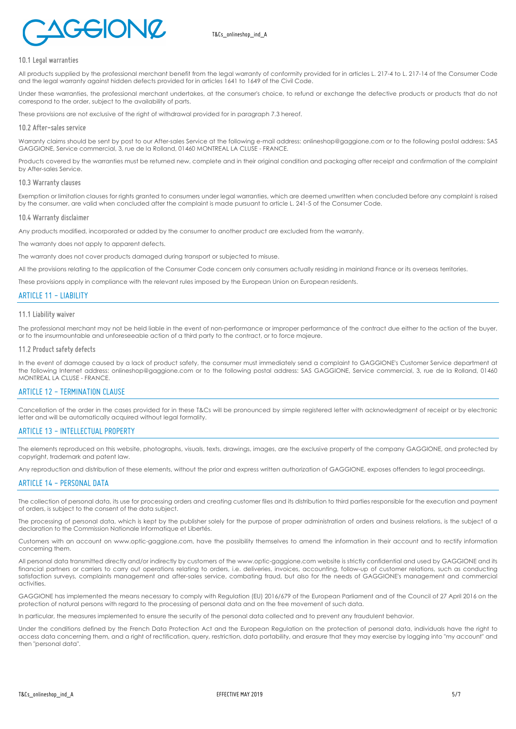

#### **10.1 Legal warranties**

All products supplied by the professional merchant benefit from the legal warranty of conformity provided for in articles L. 217-4 to L. 217-14 of the Consumer Code and the legal warranty against hidden defects provided for in articles 1641 to 1649 of the Civil Code.

Under these warranties, the professional merchant undertakes, at the consumer's choice, to refund or exchange the defective products or products that do not correspond to the order, subject to the availability of parts.

These provisions are not exclusive of the right of withdrawal provided for in paragraph 7.3 hereof.

#### **10.2 After-sales service**

Warranty claims should be sent by post to our After-sales Service at the following e-mail address: onlineshop@gaggione.com or to the following postal address: SAS GAGGIONE, Service commercial, 3, rue de la Rolland, 01460 MONTREAL LA CLUSE - FRANCE.

Products covered by the warranties must be returned new, complete and in their original condition and packaging after receipt and confirmation of the complaint by After-sales Service.

#### **10.3 Warranty clauses**

Exemption or limitation clauses for rights granted to consumers under legal warranties, which are deemed unwritten when concluded before any complaint is raised by the consumer, are valid when concluded after the complaint is made pursuant to article L. 241-5 of the Consumer Code.

#### **10.4 Warranty disclaimer**

Any products modified, incorporated or added by the consumer to another product are excluded from the warranty.

The warranty does not apply to apparent defects.

The warranty does not cover products damaged during transport or subjected to misuse.

All the provisions relating to the application of the Consumer Code concern only consumers actually residing in mainland France or its overseas territories.

These provisions apply in compliance with the relevant rules imposed by the European Union on European residents.

# ARTICLE 11 - LIABILITY

#### **11.1 Liability waiver**

The professional merchant may not be held liable in the event of non-performance or improper performance of the contract due either to the action of the buyer, or to the insurmountable and unforeseeable action of a third party to the contract, or to force majeure.

#### **11.2 Product safety defects**

In the event of damage caused by a lack of product safety, the consumer must immediately send a complaint to GAGGIONE's Customer Service department at the following Internet address: onlineshop@gaggione.com or to the following postal address: SAS GAGGIONE, Service commercial, 3, rue de la Rolland, 01460 MONTREAL LA CLUSE - FRANCE.

# ARTICLE 12 - TERMINATION CLAUSE

Cancellation of the order in the cases provided for in these T&Cs will be pronounced by simple registered letter with acknowledgment of receipt or by electronic letter and will be automatically acquired without legal formality.

# ARTICLE 13 - INTELLECTUAL PROPERTY

The elements reproduced on this website, photographs, visuals, texts, drawings, images, are the exclusive property of the company GAGGIONE, and protected by copyright, trademark and patent law.

Any reproduction and distribution of these elements, without the prior and express written authorization of GAGGIONE, exposes offenders to legal proceedings.

#### ARTICLE 14 - PERSONAL DATA

The collection of personal data, its use for processing orders and creating customer files and its distribution to third parties responsible for the execution and payment of orders, is subject to the consent of the data subject.

The processing of personal data, which is kept by the publisher solely for the purpose of proper administration of orders and business relations, is the subject of a declaration to the Commission Nationale Informatique et Libertés.

Customers with an account on www.optic-gaggione.com, have the possibility themselves to amend the information in their account and to rectify information concerning them.

All personal data transmitted directly and/or indirectly by customers of the www.optic-gaggione.com website is strictly confidential and used by GAGGIONE and its financial partners or carriers to carry out operations relating to orders, i.e. deliveries, invoices, accounting, follow-up of customer relations, such as conducting satisfaction surveys, complaints management and after-sales service, combating fraud, but also for the needs of GAGGIONE's management and commercial activities.

GAGGIONE has implemented the means necessary to comply with Regulation (EU) 2016/679 of the European Parliament and of the Council of 27 April 2016 on the protection of natural persons with regard to the processing of personal data and on the free movement of such data.

In particular, the measures implemented to ensure the security of the personal data collected and to prevent any fraudulent behavior.

Under the conditions defined by the French Data Protection Act and the European Regulation on the protection of personal data, individuals have the right to access data concerning them, and a right of rectification, query, restriction, data portability, and erasure that they may exercise by logging into "my account" and then "personal data".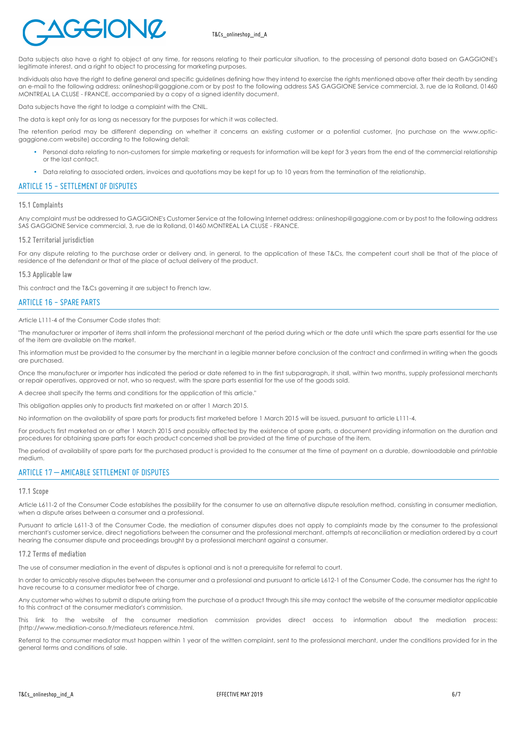

# T&Cs\_onlineshop\_ind\_A

Data subjects also have a right to object at any time, for reasons relating to their particular situation, to the processing of personal data based on GAGGIONE's legitimate interest, and a right to object to processing for marketing purposes.

Individuals also have the right to define general and specific guidelines defining how they intend to exercise the rights mentioned above after their death by sending an e-mail to the following address: onlineshop@gaggione.com or by post to the following address SAS GAGGIONE Service commercial, 3, rue de la Rolland, 01460 MONTREAL LA CLUSE - FRANCE, accompanied by a copy of a signed identity document.

Data subjects have the right to lodge a complaint with the CNIL.

The data is kept only for as long as necessary for the purposes for which it was collected.

The retention period may be different depending on whether it concerns an existing customer or a potential customer, (no purchase on the www.opticgaggione.com website) according to the following detail:

- Personal data relating to non-customers for simple marketing or requests for information will be kept for 3 years from the end of the commercial relationship or the last contact.
- Data relating to associated orders, invoices and quotations may be kept for up to 10 years from the termination of the relationship.

# ARTICLE 15 - SETTLEMENT OF DISPUTES

#### **15.1 Complaints**

Any complaint must be addressed to GAGGIONE's Customer Service at the following Internet address: onlineshop@gaggione.com or by post to the following address SAS GAGGIONE Service commercial, 3, rue de la Rolland, 01460 MONTREAL LA CLUSE - FRANCE.

#### **15.2 Territorial jurisdiction**

For any dispute relating to the purchase order or delivery and, in general, to the application of these T&Cs, the competent court shall be that of the place of residence of the defendant or that of the place of actual delivery of the product.

#### **15.3 Applicable law**

This contract and the T&Cs governing it are subject to French law.

#### ARTICLE 16 - SPARE PARTS

Article L111-4 of the Consumer Code states that:

"The manufacturer or importer of items shall inform the professional merchant of the period during which or the date until which the spare parts essential for the use of the item are available on the market.

This information must be provided to the consumer by the merchant in a legible manner before conclusion of the contract and confirmed in writing when the goods are purchased.

Once the manufacturer or importer has indicated the period or date referred to in the first subparagraph, it shall, within two months, supply professional merchants or repair operatives, approved or not, who so request, with the spare parts essential for the use of the goods sold.

A decree shall specify the terms and conditions for the application of this article."

This obligation applies only to products first marketed on or after 1 March 2015.

No information on the availability of spare parts for products first marketed before 1 March 2015 will be issued, pursuant to article L111-4.

For products first marketed on or after 1 March 2015 and possibly affected by the existence of spare parts, a document providing information on the duration and procedures for obtaining spare parts for each product concerned shall be provided at the time of purchase of the item.

The period of availability of spare parts for the purchased product is provided to the consumer at the time of payment on a durable, downloadable and printable medium.

#### ARTICLE 17 – AMICABLE SETTLEMENT OF DISPUTES

#### **17.1 Scope**

Article L611-2 of the Consumer Code establishes the possibility for the consumer to use an alternative dispute resolution method, consisting in consumer mediation, when a dispute arises between a consumer and a professional.

Pursuant to article L611-3 of the Consumer Code, the mediation of consumer disputes does not apply to complaints made by the consumer to the professional merchant's customer service, direct negotiations between the consumer and the professional merchant, attempts at reconciliation or mediation ordered by a court hearing the consumer dispute and proceedings brought by a professional merchant against a consumer.

#### **17.2 Terms of mediation**

The use of consumer mediation in the event of disputes is optional and is not a prerequisite for referral to court.

In order to amicably resolve disputes between the consumer and a professional and pursuant to article L612-1 of the Consumer Code, the consumer has the right to have recourse to a consumer mediator free of charge.

Any customer who wishes to submit a dispute arising from the purchase of a product through this site may contact the website of the consumer mediator applicable to this contract at the consumer mediator's commission.

This link to the website of the consumer mediation commission provides direct access to information about the mediation process: (http://www.mediation-conso.fr/mediateurs reference.html.

Referral to the consumer mediator must happen within 1 year of the written complaint, sent to the professional merchant, under the conditions provided for in the general terms and conditions of sale.